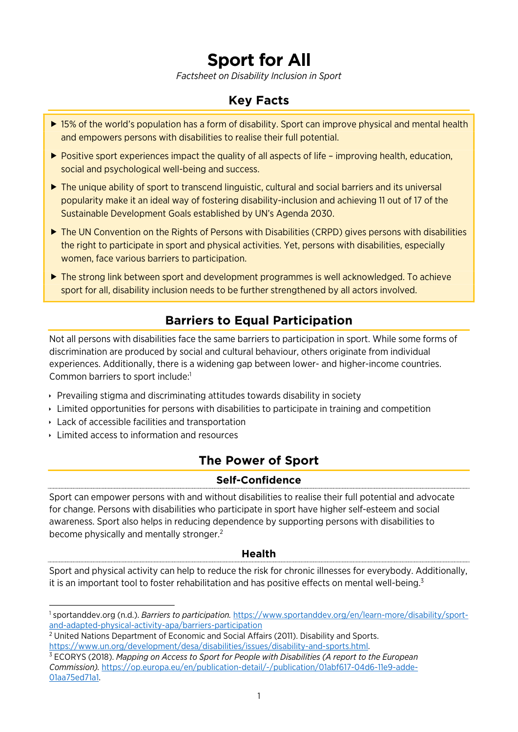# **Sport for All**

*Factsheet on Disability Inclusion in Sport* 

## **Key Facts**

- ▶ 15% of the world's population has a form of disability. Sport can improve physical and mental health and empowers persons with disabilities to realise their full potential.
- ▶ Positive sport experiences impact the quality of all aspects of life improving health, education, social and psychological well-being and success.
- ► The unique ability of sport to transcend linguistic, cultural and social barriers and its universal popularity make it an ideal way of fostering disability-inclusion and achieving 11 out of 17 of the Sustainable Development Goals established by UN's Agenda 2030.
- ▶ The UN Convention on the Rights of Persons with Disabilities (CRPD) gives persons with disabilities the right to participate in sport and physical activities. Yet, persons with disabilities, especially women, face various barriers to participation.
- ▶ The strong link between sport and development programmes is well acknowledged. To achieve sport for all, disability inclusion needs to be further strengthened by all actors involved.

# <span id="page-0-3"></span>**Barriers to Equal Participation**

Not all persons with disabilities face the same barriers to participation in sport. While some forms of discrimination are produced by social and cultural behaviour, others originate from individual experiences. Additionally, there is a widening gap between lower- and higher-income countries. Common barriers to sport include:<sup>[1](#page-0-0)</sup>

- $\rightarrow$  Prevailing stigma and discriminating attitudes towards disability in society
- **Limited opportunities for persons with disabilities to participate in training and competition**
- Lack of accessible facilities and transportation
- **Limited access to information and resources**

l

## **The Power of Sport**

#### **Self-Confidence**

Sport can empower persons with and without disabilities to realise their full potential and advocate for change. Persons with disabilities who participate in sport have higher self-esteem and social awareness. Sport also helps in reducing dependence by supporting persons with disabilities to become physically and mentally stronger.<sup>[2](#page-0-1)</sup>

#### <span id="page-0-5"></span><span id="page-0-4"></span>**Health**

Sport and physical activity can help to reduce the risk for chronic illnesses for everybody. Additionally, it is an important tool to foster rehabilitation and has positive effects on mental well-being.<sup>[3](#page-0-2)</sup>

<span id="page-0-0"></span>[<sup>1</sup>](#page-0-3) sportanddev.org (n.d.). *Barriers to participation.* [https://www.sportanddev.org/en/learn-more/disability/sport](https://www.sportanddev.org/en/learn-more/disability/sport-and-adapted-physical-activity-apa/barriers-participation)[and-adapted-physical-activity-apa/barriers-participation](https://www.sportanddev.org/en/learn-more/disability/sport-and-adapted-physical-activity-apa/barriers-participation) 

<span id="page-0-1"></span><sup>&</sup>lt;sup>[2](#page-0-4)</sup> United Nations Department of Economic and Social Affairs (2011). Disability and Sports. [https://www.un.org/development/desa/disabilities/issues/disability-and-sports.html.](https://www.un.org/development/desa/disabilities/issues/disability-and-sports.html)

<span id="page-0-2"></span>[<sup>3</sup>](#page-0-5) ECORYS (2018). *Mapping on Access to Sport for People with Disabilities (A report to the European Commission).* [https://op.europa.eu/en/publication-detail/-/publication/01abf617-04d6-11e9-adde-](https://op.europa.eu/en/publication-detail/-/publication/01abf617-04d6-11e9-adde-01aa75ed71a1)[01aa75ed71a1.](https://op.europa.eu/en/publication-detail/-/publication/01abf617-04d6-11e9-adde-01aa75ed71a1)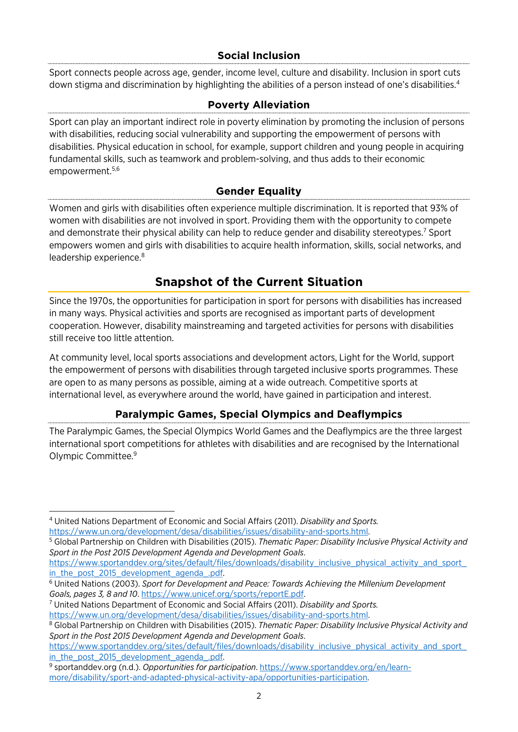#### <span id="page-1-6"></span>**Social Inclusion**

Sport connects people across age, gender, income level, culture and disability. Inclusion in sport cuts down stigma and discrimination by highlighting the abilities of a person instead of one's disabilities.<sup>[4](#page-1-0)</sup>

#### **Poverty Alleviation**

Sport can play an important indirect role in poverty elimination by promoting the inclusion of persons with disabilities, reducing social vulnerability and supporting the empowerment of persons with disabilities. Physical education in school, for example, support children and young people in acquiring fundamental skills, such as teamwork and problem-solving, and thus adds to their economic empowerment.[5](#page-1-1),[6](#page-1-2)

#### <span id="page-1-9"></span>**Gender Equality**

<span id="page-1-8"></span><span id="page-1-7"></span>Women and girls with disabilities often experience multiple discrimination. It is reported that 93% of women with disabilities are not involved in sport. Providing them with the opportunity to compete and demonstrate their physical ability can help to reduce gender and disability stereotypes.<sup>[7](#page-1-3)</sup> Sport empowers women and girls with disabilities to acquire health information, skills, social networks, and leadership experience.<sup>[8](#page-1-4)</sup>

## <span id="page-1-10"></span>**Snapshot of the Current Situation**

Since the 1970s, the opportunities for participation in sport for persons with disabilities has increased in many ways. Physical activities and sports are recognised as important parts of development cooperation. However, disability mainstreaming and targeted activities for persons with disabilities still receive too little attention.

At community level, local sports associations and development actors, Light for the World, support the empowerment of persons with disabilities through targeted inclusive sports programmes. These are open to as many persons as possible, aiming at a wide outreach. Competitive sports at international level, as everywhere around the world, have gained in participation and interest.

#### <span id="page-1-11"></span>**Paralympic Games, Special Olympics and Deaflympics**

The Paralympic Games, the Special Olympics World Games and the Deaflympics are the three largest international sport competitions for athletes with disabilities and are recognised by the International Olympic Committee.[9](#page-1-5)

<span id="page-1-0"></span>l [4](#page-1-6) United Nations Department of Economic and Social Affairs (2011). *Disability and Sports.* [https://www.un.org/development/desa/disabilities/issues/disability-and-sports.html.](https://www.un.org/development/desa/disabilities/issues/disability-and-sports.html)

<span id="page-1-1"></span>[<sup>5</sup>](#page-1-7) Global Partnership on Children with Disabilities (2015). *Thematic Paper: Disability Inclusive Physical Activity and Sport in the Post 2015 Development Agenda and Development Goals*.

[https://www.sportanddev.org/sites/default/files/downloads/disability\\_inclusive\\_physical\\_activity\\_and\\_sport\\_](https://www.sportanddev.org/sites/default/files/downloads/disability_inclusive_physical_activity_and_sport_in_the_post_2015_development_agenda_.pdf) in the post 2015 development agenda .pdf.

<span id="page-1-2"></span>[<sup>6</sup>](#page-1-8) United Nations (2003). *Sport for Development and Peace: Towards Achieving the Millenium Development Goals, pages 3, 8 and 10*. [https://www.unicef.org/sports/reportE.pdf.](https://www.unicef.org/sports/reportE.pdf)

<span id="page-1-3"></span>[<sup>7</sup>](#page-1-9) United Nations Department of Economic and Social Affairs (2011). *Disability and Sports.*  [https://www.un.org/development/desa/disabilities/issues/disability-and-sports.html.](https://www.un.org/development/desa/disabilities/issues/disability-and-sports.html)

<span id="page-1-4"></span>[<sup>8</sup>](#page-1-10) Global Partnership on Children with Disabilities (2015). *Thematic Paper: Disability Inclusive Physical Activity and Sport in the Post 2015 Development Agenda and Development Goals*.

https://www.sportanddev.org/sites/default/files/downloads/disability\_inclusive\_physical\_activity\_and\_sport in the post 2015 development agenda .pdf.

<span id="page-1-5"></span>[<sup>9</sup>](#page-1-11) sportanddev.org (n.d.). *Opportunities for participation*. [https://www.sportanddev.org/en/learn](https://www.sportanddev.org/en/learn-more/disability/sport-and-adapted-physical-activity-apa/opportunities-participation)[more/disability/sport-and-adapted-physical-activity-apa/opportunities-participation.](https://www.sportanddev.org/en/learn-more/disability/sport-and-adapted-physical-activity-apa/opportunities-participation)